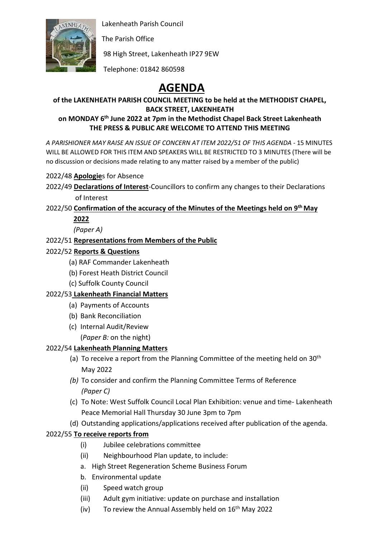

Lakenheath Parish Council

The Parish Office

98 High Street, Lakenheath IP27 9EW

Telephone: 01842 860598

# **AGENDA**

# **of the LAKENHEATH PARISH COUNCIL MEETING to be held at the METHODIST CHAPEL, BACK STREET, LAKENHEATH**

#### **on MONDAY 6th June 2022 at 7pm in the Methodist Chapel Back Street Lakenheath THE PRESS & PUBLIC ARE WELCOME TO ATTEND THIS MEETING**

*A PARISHIONER MAY RAISE AN ISSUE OF CONCERN AT ITEM 2022/51 OF THIS AGENDA* - 15 MINUTES WILL BE ALLOWED FOR THIS ITEM AND SPEAKERS WILL BE RESTRICTED TO 3 MINUTES (There will be no discussion or decisions made relating to any matter raised by a member of the public)

2022/48 **Apologie**s for Absence

2022/49 **Declarations of Interest**-Councillors to confirm any changes to their Declarations of Interest

## 2022/50 **Confirmation of the accuracy of the Minutes of the Meetings held on 9 th May 2022**

*(Paper A)*

## 2022/51 **Representations from Members of the Public**

## 2022/52 **Reports & Questions**

- (a) RAF Commander Lakenheath
- (b) Forest Heath District Council
- (c) Suffolk County Council

## 2022/53 **Lakenheath Financial Matters**

- (a) Payments of Accounts
- (b) Bank Reconciliation
- (c) Internal Audit/Review
	- (*Paper B:* on the night)

## 2022/54 **Lakenheath Planning Matters**

- (a) To receive a report from the Planning Committee of the meeting held on  $30<sup>th</sup>$ May 2022
- *(b)* To consider and confirm the Planning Committee Terms of Reference *(Paper C)*
- (c) To Note: West Suffolk Council Local Plan Exhibition: venue and time- Lakenheath Peace Memorial Hall Thursday 30 June 3pm to 7pm
- (d) Outstanding applications/applications received after publication of the agenda.

## 2022/55 **To receive reports from**

- (i) Jubilee celebrations committee
- (ii) Neighbourhood Plan update, to include:
- a. High Street Regeneration Scheme Business Forum
- b. Environmental update
- (ii) Speed watch group
- (iii) Adult gym initiative: update on purchase and installation
- (iv) To review the Annual Assembly held on  $16<sup>th</sup>$  May 2022